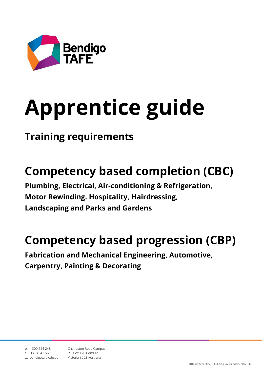

# **Apprentice guide**

# **Training requirements**

# **Competency based completion (CBC)**

**Plumbing, Electrical, Air-conditioning & Refrigeration, Motor Rewinding. Hospitality, Hairdressing, Landscaping and Parks and Gardens**

# **Competency based progression (CBP)**

**Fabrication and Mechanical Engineering, Automotive, Carpentry, Painting & Decorating**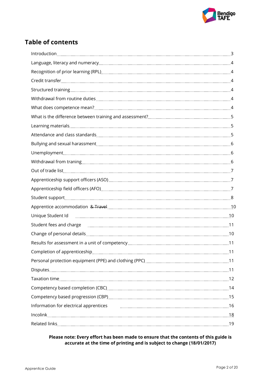

# **Table of contents**

| Student support manual content and a state of the state of the state of the state of the state of the state of         |  |
|------------------------------------------------------------------------------------------------------------------------|--|
|                                                                                                                        |  |
| Unique Student Id <u>manual communications are alleged</u> and the state of the state of the student of the state of t |  |
| Student fees and charge <u>manual measure and contract and an</u> analysis of the manual measure and charge and contra |  |
|                                                                                                                        |  |
|                                                                                                                        |  |
|                                                                                                                        |  |
|                                                                                                                        |  |
|                                                                                                                        |  |
|                                                                                                                        |  |
|                                                                                                                        |  |
|                                                                                                                        |  |
|                                                                                                                        |  |
|                                                                                                                        |  |
|                                                                                                                        |  |

#### **Please note: Every effort has been made to ensure that the contents of this guide is accurate at the time of printing and is subject to change (18/01/2017)**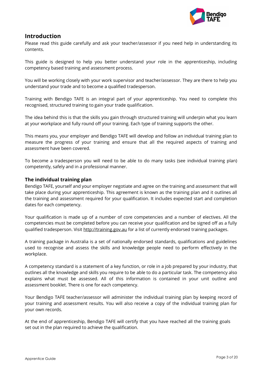

# **Introduction**

Please read this guide carefully and ask your teacher/assessor if you need help in understanding its contents.

This guide is designed to help you better understand your role in the apprenticeship, including competency based training and assessment process.

You will be working closely with your work supervisor and teacher/assessor. They are there to help you understand your trade and to become a qualified tradesperson.

Training with Bendigo TAFE is an integral part of your apprenticeship. You need to complete this recognised, structured training to gain your trade qualification.

The idea behind this is that the skills you gain through structured training will underpin what you learn at your workplace and fully round off your training. Each type of training supports the other.

This means you, your employer and Bendigo TAFE will develop and follow an individual training plan to measure the progress of your training and ensure that all the required aspects of training and assessment have been covered.

To become a tradesperson you will need to be able to do many tasks (see individual training plan) competently, safely and in a professional manner.

#### **The individual training plan**

Bendigo TAFE, yourself and your employer negotiate and agree on the training and assessment that will take place during your apprenticeship. This agreement is known as the training plan and it outlines all the training and assessment required for your qualification. It includes expected start and completion dates for each competency.

Your qualification is made up of a number of core competencies and a number of electives. All the competencies must be completed before you can receive your qualification and be signed off as a fully qualified tradesperson. Visit [http://training.gov.au](http://training.gov.au/) for a list of currently endorsed training packages.

A training package in Australia is a set of nationally endorsed standards, qualifications and guidelines used to recognise and assess the skills and knowledge people need to perform effectively in the workplace.

A competency standard is a statement of a key function, or role in a job prepared by your industry, that outlines all the knowledge and skills you require to be able to do a particular task. The competency also explains what must be assessed. All of this information is contained in your unit outline and assessment booklet. There is one for each competency.

Your Bendigo TAFE teacher/assessor will administer the individual training plan by keeping record of your training and assessment results. You will also receive a copy of the individual training plan for your own records.

<span id="page-2-0"></span>At the end of apprenticeship, Bendigo TAFE will certify that you have reached all the training goals set out in the plan required to achieve the qualification.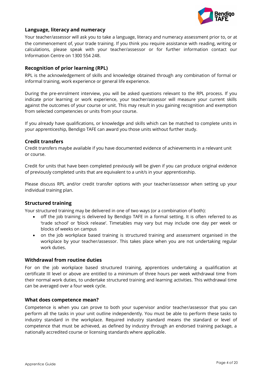

#### **Language, literacy and numeracy**

Your teacher/assessor will ask you to take a language, literacy and numeracy assessment prior to, or at the commencement of, your trade training. If you think you require assistance with reading, writing or calculations, please speak with your teacher/assessor or for further information contact our Information Centre on 1300 554 248.

#### <span id="page-3-0"></span>**Recognition of prior learning (RPL)**

RPL is the acknowledgement of skills and knowledge obtained through any combination of formal or informal training, work experience or general life experience.

During the pre-enrolment interview, you will be asked questions relevant to the RPL process. If you indicate prior learning or work experience, your teacher/assessor will measure your current skills against the outcomes of your course or unit. This may result in you gaining recognition and exemption from selected competencies or units from your course.

If you already have qualifications, or knowledge and skills which can be matched to complete units in your apprenticeship, Bendigo TAFE can award you those units without further study.

#### **Credit transfers**

Credit transfers maybe available if you have documented evidence of achievements in a relevant unit or course.

Credit for units that have been completed previously will be given if you can produce original evidence of previously completed units that are equivalent to a unit/s in your apprenticeship.

Please discuss RPL and/or credit transfer options with your teacher/assessor when setting up your individual training plan.

#### <span id="page-3-1"></span>**Structured training**

Your structured training may be delivered in one of two ways (or a combination of both):

- off the job training is delivered by Bendigo TAFE in a formal setting. It is often referred to as 'trade school' or 'block release'. Timetables may vary but may include one day per week or blocks of weeks on campus
- on the job workplace based training is structured training and assessment organised in the workplace by your teacher/assessor. This takes place when you are not undertaking regular work duties.

#### <span id="page-3-2"></span>**Withdrawal from routine duties**

For on the job workplace based structured training, apprentices undertaking a qualification at certificate III level or above are entitled to a minimum of three hours per week withdrawal time from their normal work duties, to undertake structured training and learning activities. This withdrawal time can be averaged over a four week cycle.

#### <span id="page-3-3"></span>**What does competence mean?**

<span id="page-3-4"></span>Competence is when you can prove to both your supervisor and/or teacher/assessor that you can perform all the tasks in your unit outline independently. You must be able to perform these tasks to industry standard in the workplace. Required industry standard means the standard or level of competence that must be achieved, as defined by industry through an endorsed training package, a nationally accredited course or licensing standards where applicable.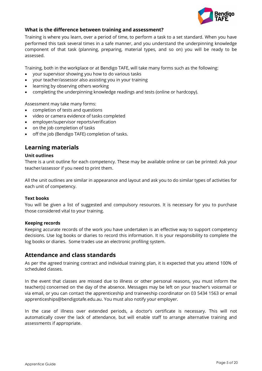

#### **What is the difference between training and assessment?**

Training is where you learn, over a period of time, to perform a task to a set standard. When you have performed this task several times in a safe manner, and you understand the underpinning knowledge component of that task (planning, preparing, material types, and so on) you will be ready to be assessed.

Training, both in the workplace or at Bendigo TAFE, will take many forms such as the following:

- your supervisor showing you how to do various tasks
- your teacher/assessor also assisting you in your training
- learning by observing others working
- completing the underpinning knowledge readings and tests (online or hardcopy).

Assessment may take many forms:

- completion of tests and questions
- video or camera evidence of tasks completed
- employer/supervisor reports/verification
- on the job completion of tasks
- off the job (Bendigo TAFE) completion of tasks.

# <span id="page-4-0"></span>**Learning materials**

#### **Unit outlines**

There is a unit outline for each competency. These may be available online or can be printed: Ask your teacher/assessor if you need to print them.

All the unit outlines are similar in appearance and layout and ask you to do similar types of activities for each unit of competency.

#### **Text books**

You will be given a list of suggested and compulsory resources. It is necessary for you to purchase those considered vital to your training.

#### **Keeping records**

Keeping accurate records of the work you have undertaken is an effective way to support competency decisions. Use log books or diaries to record this information. It is your responsibility to complete the log books or diaries. Some trades use an electronic profiling system.

# <span id="page-4-1"></span>**Attendance and class standards**

As per the agreed training contract and individual training plan, it is expected that you attend 100% of scheduled classes.

In the event that classes are missed due to illness or other personal reasons, you must inform the teacher(s) concerned on the day of the absence. Messages may be left on your teacher's voicemail or via email, or you can contact the apprenticeship and traineeship coordinator on 03 5434 1563 or email [apprenticeships@bendigotafe.edu.au.](mailto:apprenticeships@bendigotafe.edu.au) You must also notify your employer.

In the case of illness over extended periods, a doctor's certificate is necessary. This will not automatically cover the lack of attendance, but will enable staff to arrange alternative training and assessments if appropriate.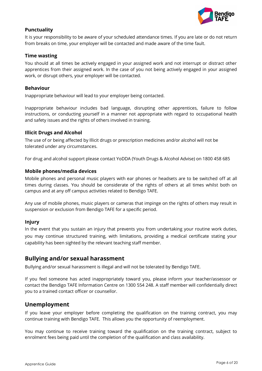

#### **Punctuality**

It is your responsibility to be aware of your scheduled attendance times. If you are late or do not return from breaks on time, your employer will be contacted and made aware of the time fault.

#### **Time wasting**

You should at all times be actively engaged in your assigned work and not interrupt or distract other apprentices from their assigned work. In the case of you not being actively engaged in your assigned work, or disrupt others, your employer will be contacted.

#### **Behaviour**

Inappropriate behaviour will lead to your employer being contacted.

Inappropriate behaviour includes bad language, disrupting other apprentices, failure to follow instructions, or conducting yourself in a manner not appropriate with regard to occupational health and safety issues and the rights of others involved in training.

#### **Illicit Drugs and Alcohol**

The use of or being affected by Illicit drugs or prescription medicines and/or alcohol will not be tolerated under any circumstances.

For drug and alcohol support please contact YoDDA (Youth Drugs & Alcohol Advise) on 1800 458 685

#### **Mobile phones/media devices**

Mobile phones and personal music players with ear phones or headsets are to be switched off at all times during classes. You should be considerate of the rights of others at all times whilst both on campus and at any off campus activities related to Bendigo TAFE.

Any use of mobile phones, music players or cameras that impinge on the rights of others may result in suspension or exclusion from Bendigo TAFE for a specific period.

#### **Injury**

In the event that you sustain an injury that prevents you from undertaking your routine work duties, you may continue structured training, with limitations, providing a medical certificate stating your capability has been sighted by the relevant teaching staff member.

#### <span id="page-5-0"></span>**Bullying and/or sexual harassment**

Bullying and/or sexual harassment is illegal and will not be tolerated by Bendigo TAFE.

If you feel someone has acted inappropriately toward you, please inform your teacher/assessor or contact the Bendigo TAFE Information Centre on 1300 554 248. A staff member will confidentially direct you to a trained contact officer or counsellor.

#### <span id="page-5-1"></span>**Unemployment**

If you leave your employer before completing the qualification on the training contract, you may continue training with Bendigo TAFE. This allows you the opportunity of reemployment.

You may continue to receive training toward the qualification on the training contract, subject to enrolment fees being paid until the completion of the qualification and class availability.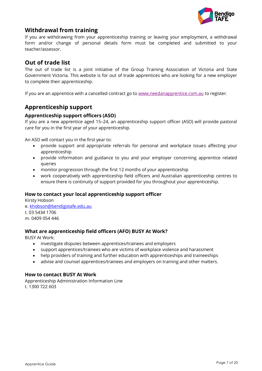

# **Withdrawal from training**

If you are withdrawing from your apprenticeship training or leaving your employment, a withdrawal form and/or change of personal details form must be completed and submitted to your teacher/assessor.

# <span id="page-6-0"></span>**Out of trade list**

The out of trade list is a joint initiative of the Group Training Association of Victoria and State Government Victoria. This website is for out of trade apprentices who are looking for a new employer to complete their apprenticeship.

If you are an apprentice with a cancelled contract go to [www.needanapprentice.com.au](http://www.needanapprentice.com.au/) to register.

# **Apprenticeship support**

#### **Apprenticeship support officers (ASO)**

If you are a new apprentice aged 15–24, an apprenticeship support officer (ASO) will provide pastoral care for you in the first year of your apprenticeship.

An ASO will contact you in the first year to:

- provide support and appropriate referrals for personal and workplace issues affecting your apprenticeship
- provide information and guidance to you and your employer concerning apprentice related queries
- monitor progression through the first 12 months of your apprenticeship
- work cooperatively with apprenticeship field officers and Australian apprenticeship centres to ensure there is continuity of support provided for you throughout your apprenticeship.

#### **How to contact your local apprenticeship support officer**

Kirsty Hobson e[. khobson@bendigotafe.edu.au](mailto:khobson@bendigotafe.edu.au) t. 03 5434 1706 m. 0409 054 446

#### <span id="page-6-1"></span>**What are apprenticeship field officers (AFO) BUSY At Work?**

BUSY At Work:

- investigate disputes between apprentices/trainees and employers
- support apprentices/trainees who are victims of workplace violence and harassment
- help providers of training and further education with apprenticeships and traineeships
- advise and counsel apprentices/trainees and employers on training and other matters.

#### **How to contact BUSY At Work**

Apprenticeship Administration Information Line t. 1300 722 603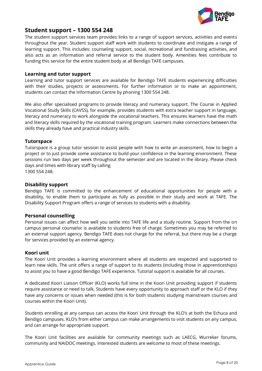

## **Student support – 1300 554 248**

The student support services team provides links to a range of support services, activities and events throughout the year. Student support staff work with students to coordinate and instigate a range of learning support. This includes: counseling support, social, recreational and fundraising activities, and also acts as an information and referral service to the student body. Amenities fees contribute to funding this service for the entire student body at all Bendigo TAFE campuses.

#### **Learning and tutor support**

Learning and tutor support services are available for Bendigo TAFE students experiencing difficulties with their studies, projects or assessments. For further information or to make an appointment, students can contact the Information Centre by phoning 1300 554 248.

We also offer specialised programs to provide literacy and numeracy support. The Course in Applied Vocational Study Skills (CAVSS), for example, provides students with extra teacher support in language, literacy and numeracy to work alongside the vocational teachers. This ensures learners have the math and literacy skills required by the vocational training program. Learners make connections between the skills they already have and practical industry skills.

#### **Tutorspace**

Tutorspace is a group tutor session to assist people with how to write an assessment, how to begin a project or to just provide some assistance to build your confidence in the learning environment. These sessions run two days per week throughout the semester and are located in the library. Please check days and times with library staff by calling 1300 554 248.

#### **Disability support**

Bendigo TAFE is committed to the enhancement of educational opportunities for people with a disability, to enable them to participate as fully as possible in their study and work at TAFE. The Disability Support Program offers a range of services to students with a disability.

#### **Personal counselling**

Personal issues can affect how well you settle into TAFE life and a study routine. Support from the on campus personal counselor is available to students free of charge. Sometimes you may be referred to an external support agency. Bendigo TAFE does not charge for the referral, but there may be a charge for services provided by an external agency.

#### **Koori unit**

The Koori Unit provides a learning environment where all students are respected and supported to learn new skills. The unit offers a range of support to its students (including those in apprenticeships) to assist you to have a good Bendigo TAFE experience. Tutorial support is available for all courses.

A dedicated Koori Liaison Officer (KLO) works full time in the Koori Unit providing support if students require assistance or need to talk. Students have every opportunity to approach staff or the KLO if they have any concerns or issues when needed (this is for both students studying mainstream courses and courses within the Koori Unit).

Students enrolling at any campus can access the Koori Unit through the KLO's at both the Echuca and Bendigo campuses. KLO's from either campus can make arrangements to visit students on any campus, and can arrange for appropriate support.

The Koori Unit facilities are available for community meetings such as LAECG, Wurreker forums, community and NAIDOC meetings. Interested students are welcome to most of these meetings.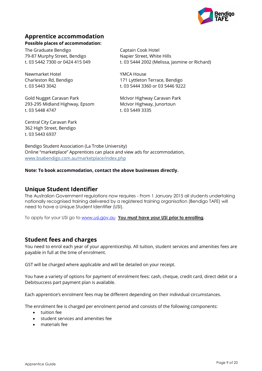

# <span id="page-8-0"></span>**Apprentice accommodation**

#### **Possible places of accommodation:**

The Graduate Bendigo Captain Cook Hotel 79-87 Murphy Street, Bendigo Napier Street, White Hills

Newmarket Hotel YMCA House

Gold Nugget Caravan Park McIvor Highway Caravan Park 293-295 Midland Highway, Epsom McIvor Highway, Junortoun t. 03 5448 4747 t. 03 5449 3335

t. 03 5442 7300 or 0424 415 049 t. 03 5444 2002 (Melissa, Jasmine or Richard)

Charleston Rd, Bendigo 171 Lyttleton Terrace, Bendigo t. 03 5443 3042 t. 03 5444 3360 or 03 5446 9222

<span id="page-8-1"></span>

Central City Caravan Park 362 High Street, Bendigo t. 03 5443 6937

Bendigo Student Association (La Trobe University) Online "marketplace" Apprentices can place and view ads for accommodation, [www.bsabendigo.com.au/marketplace/index.php](http://www.bsabendigo.com.au/marketplace/index.php)

**Note: To book accommodation, contact the above businesses directly.**

# **Unique Student Identifier**

The Australian Government regulations now requires - From 1 January 2015 all students undertaking nationally recognised training delivered by a registered training organisation (Bendigo TAFE) will need to have a Unique Student Identifier (USI).

To apply for your USI go to [www.usi.gov.au](http://www.usi.gov.au/) **You must have your USI prior to enrolling**.

# **Student fees and charges**

You need to enrol each year of your apprenticeship. All tuition, student services and amenities fees are payable in full at the time of enrolment.

GST will be charged where applicable and will be detailed on your receipt.

You have a variety of options for payment of enrolment fees: cash, cheque, credit card, direct debit or a Debitsuccess part payment plan is available.

Each apprentice's enrolment fees may be different depending on their individual circumstances.

The enrolment fee is charged per enrolment period and consists of the following components:

- tuition fee
- student services and amenities fee
- materials fee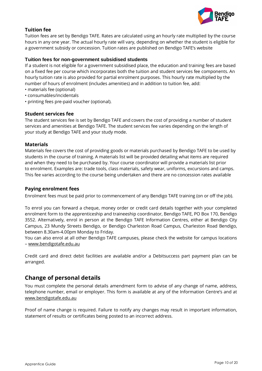

#### **Tuition fee**

Tuition fees are set by Bendigo TAFE. Rates are calculated using an hourly rate multiplied by the course hours in any one year. The actual hourly rate will vary, depending on whether the student is eligible for a government subsidy or concession. Tuition rates are published on Bendigo TAFE's website

#### **Tuition fees for non-government subsidised students**

If a student is not eligible for a government subsidised place, the education and training fees are based on a fixed fee per course which incorporates both the tuition and student services fee components. An hourly tuition rate is also provided for partial enrolment purposes. This hourly rate multiplied by the number of hours of enrolment (includes amenities) and in addition to tuition fee, add:

- materials fee (optional)
- consumables/incidentals
- printing fees pre-paid voucher (optional).

#### **Student services fee**

The student services fee is set by Bendigo TAFE and covers the cost of providing a number of student services and amenities at Bendigo TAFE. The student services fee varies depending on the length of your study at Bendigo TAFE and your study mode.

#### **Materials**

Materials fee covers the cost of providing goods or materials purchased by Bendigo TAFE to be used by students in the course of training. A materials list will be provided detailing what items are required and when they need to be purchased by. Your course coordinator will provide a materials list prior to enrolment. Examples are: trade tools, class materials, safety wear, uniforms, excursions and camps. This fee varies according to the course being undertaken and there are no concession rates available

#### **Paying enrolment fees**

Enrolment fees must be paid prior to commencement of any Bendigo TAFE training (on or off the job).

To enrol you can forward a cheque, money order or credit card details together with your completed enrolment form to the apprenticeship and traineeship coordinator, Bendigo TAFE, PO Box 170, Bendigo 3552. Alternatively, enrol in person at the Bendigo TAFE Information Centres, either at Bendigo City Campus, 23 Mundy Streets Bendigo, or Bendigo Charleston Road Campus, Charleston Road Bendigo, between 8.30am-4.00pm Monday to Friday.

You can also enrol at all other Bendigo TAFE campuses, please check the website for campus locations – [www.bendigotafe.edu.au](http://www.bendigotafe.edu.au/)

Credit card and direct debit facilities are available and/or a Debitsuccess part payment plan can be arranged.

# <span id="page-9-0"></span>**Change of personal details**

You must complete the personal details amendment form to advise of any change of name, address, telephone number, email or employer. This form is available at any of the Information Centre's and at [www.bendigotafe.edu.au](http://www.bendigotafe.edu.au/)

Proof of name change is required. Failure to notify any changes may result in important information, statement of results or certificates being posted to an incorrect address.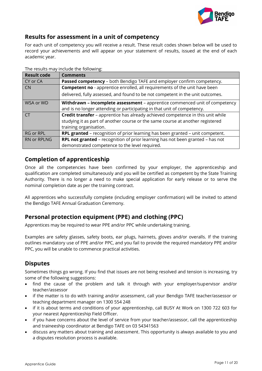

# <span id="page-10-0"></span>**Results for assessment in a unit of competency**

For each unit of competency you will receive a result. These result codes shown below will be used to record your achievements and will appear on your statement of results, issued at the end of each academic year.

| <b>Result code</b> | <b>Comments</b>                                                                       |
|--------------------|---------------------------------------------------------------------------------------|
| CY or CA           | <b>Passed competency</b> – both Bendigo TAFE and employer confirm competency.         |
| <b>CN</b>          | <b>Competent no</b> - apprentice enrolled, all requirements of the unit have been     |
|                    | delivered, fully assessed, and found to be not competent in the unit outcomes.        |
| WSA or WD          | Withdrawn - incomplete assessment - apprentice commenced unit of competency           |
|                    | and is no longer attending or participating in that unit of competency.               |
| <b>CT</b>          | Credit transfer - apprentice has already achieved competence in this unit while       |
|                    | studying it as part of another course or the same course at another registered        |
|                    | training organisation.                                                                |
| RG or RPL          | <b>RPL granted</b> – recognition of prior learning has been granted – unit competent. |
| <b>RN or RPLNG</b> | RPL not granted - recognition of prior learning has not been granted - has not        |
|                    | demonstrated competence to the level required.                                        |

The results may include the following:

# <span id="page-10-1"></span>**Completion of apprenticeship**

Once all the competencies have been confirmed by your employer, the apprenticeship and qualification are completed simultaneously and you will be certified as competent by the State Training Authority. There is no longer a need to make special application for early release or to serve the nominal completion date as per the training contract.

All apprentices who successfully complete (including employer confirmation) will be invited to attend the Bendigo TAFE Annual Graduation Ceremony.

# <span id="page-10-2"></span>**Personal protection equipment (PPE) and clothing (PPC)**

Apprentices may be required to wear PPE and/or PPC while undertaking training.

Examples are safety glasses, safety boots, ear plugs, hairnets, gloves and/or overalls. If the training outlines mandatory use of PPE and/or PPC, and you fail to provide the required mandatory PPE and/or PPC, you will be unable to commence practical activities.

# <span id="page-10-3"></span>**Disputes**

Sometimes things go wrong. If you find that issues are not being resolved and tension is increasing, try some of the following suggestions:

- find the cause of the problem and talk it through with your employer/supervisor and/or teacher/assessor
- if the matter is to do with training and/or assessment, call your Bendigo TAFE teacher/assessor or teaching department manager on 1300 554 248
- if it is about terms and conditions of your apprenticeship, call BUSY At Work on 1300 722 603 for your nearest Apprenticeship Field Officer.
- if you have concerns about the level of service from your teacher/assessor, call the apprenticeship and traineeship coordinator at Bendigo TAFE on 03 54341563
- discuss any matters about training and assessment. This opportunity is always available to you and a disputes resolution process is available.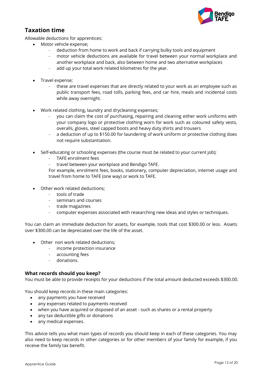

# <span id="page-11-0"></span>**Taxation time**

Allowable deductions for apprentices:

- Motor vehicle expense;
	- deduction from home to work and back if carrying bulky tools and equipment
	- motor vehicle deductions are available for travel between your normal workplace and another workplace and back, also between home and two alternative workplaces
	- add up your total work related kilometres for the year.
- Travel expense;
	- these are travel expenses that are directly related to your work as an employee such as public transport fees, road tolls, parking fees, and car hire, meals and incidental costs while away overnight.
- Work related clothing, laundry and drycleaning expenses;
	- you can claim the cost of purchasing, repairing and cleaning either work uniforms with your company logo or protective clothing worn for work such as coloured safety vests, overalls, gloves, steel capped boots and heavy duty shirts and trousers
	- a deduction of up to \$150.00 for laundering of work uniform or protective clothing does not require substantiation.
- Self-educating or schooling expenses (the course must be related to your current job);
	- TAFE enrolment fees
	- travel between your workplace and Bendigo TAFE.

For example, enrolment fees, books, stationery, computer depreciation, internet usage and travel from home to TAFE (one way) or work to TAFE.

- Other work related deductions:
	- tools of trade
	- seminars and courses
	- trade magazines
	- computer expenses associated with researching new ideas and styles or techniques.

You can claim an immediate deduction for assets, for example, tools that cost \$300.00 or less. Assets over \$300.00 can be depreciated over the life of the asset.

- Other non work related deductions;
	- income protection insurance
	- accounting fees
	- donations.

#### **What records should you keep?**

You must be able to provide receipts for your deductions if the total amount deducted exceeds \$300.00.

You should keep records in these main categories:

- any [payments you have received](http://www.ato.gov.au/individuals/content.aspx?menuid=0&doc=/content/30327.htm&page=6#P55_5591)
- any [expenses related to payments received](http://www.ato.gov.au/individuals/content.aspx?menuid=0&doc=/content/30327.htm&page=7#P84_7535)
- when you hav[e acquired or disposed of an asset](http://www.ato.gov.au/individuals/content.aspx?menuid=0&doc=/content/30327.htm&page=14#P207_15136) such as shares or a rental property
- any tax deductibl[e gifts or donations](http://www.ato.gov.au/individuals/content.aspx?menuid=0&doc=/content/30327.htm&page=15#P220_16171)
- any [medical expenses.](http://www.ato.gov.au/individuals/content.aspx?menuid=0&doc=/content/30327.htm&page=16#P231_16770)

This advice tells you what main types of records you should keep in each of these categories. You may also need to keep records in other categories or for other members of your family for example, if you receive the family tax benefit.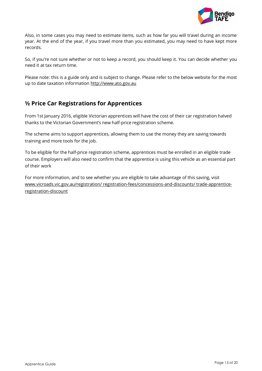

Also, in some cases you may need to estimate items, such as how far you will travel during an income year. At the end of the year, if you travel more than you estimated, you may need to have kept more records.

So, if you're not sure whether or not to keep a record, you should keep it. You can decide whether you need it at tax return time.

Please note: this is a guide only and is subject to change. Please refer to the below website for the most up to date taxation information [http://www.ato.gov.au](http://www.ato.gov.au/)

# **½ Price Car Registrations for Apprentices**

From 1st January 2016, eligible Victorian apprentices will have the cost of their car registration halved thanks to the Victorian Government's new half-price registration scheme.

The scheme aims to support apprentices, allowing them to use the money they are saving towards training and more tools for the job.

To be eligible for the half-price registration scheme, apprentices must be enrolled in an eligible trade course. Employers will also need to confirm that the apprentice is using this vehicle as an essential part of their work

For more information, and to see whether you are eligible to take advantage of this saving, visit [www.vicroads.vic.gov.au/registration/ registration-fees/concessions-and-discounts/ trade-apprentice](http://www.vicroads.vic.gov.au/registration/registration-fees/concessions-and-discounts/trade-apprentice-registration-discount)[registration-discount](http://www.vicroads.vic.gov.au/registration/registration-fees/concessions-and-discounts/trade-apprentice-registration-discount)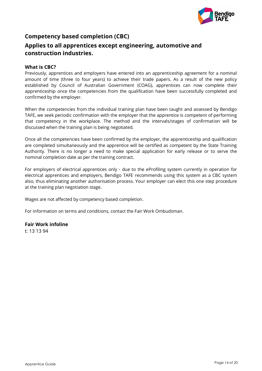

# <span id="page-13-0"></span>**Competency based completion (CBC) Applies to all apprentices except engineering, automotive and construction industries.**

#### **What is CBC?**

Previously, apprentices and employers have entered into an apprenticeship agreement for a nominal amount of time (three to four years) to achieve their trade papers. As a result of the new policy established by Council of Australian Government (COAG), apprentices can now complete their apprenticeship once the competencies from the qualification have been successfully completed and confirmed by the employer.

When the competencies from the individual training plan have been taught and assessed by Bendigo TAFE, we seek periodic confirmation with the employer that the apprentice is competent of performing that competency in the workplace. The method and the intervals/stages of confirmation will be discussed when the training plan is being negotiated.

Once all the competencies have been confirmed by the employer, the apprenticeship and qualification are completed simultaneously and the apprentice will be certified as competent by the State Training Authority. There is no longer a need to make special application for early release or to serve the nominal completion date as per the training contract.

For employers of electrical apprentices only - due to the eProfiling system currently in operation for electrical apprentices and employers, Bendigo TAFE recommends using this system as a CBC system also, thus eliminating another authorisation process. Your employer can elect this one step procedure at the training plan negotiation stage.

Wages are not affected by competency based completion.

For information on terms and conditions, contact the Fair Work Ombudsman.

#### **Fair Work infoline**

<span id="page-13-1"></span>t: 13 13 94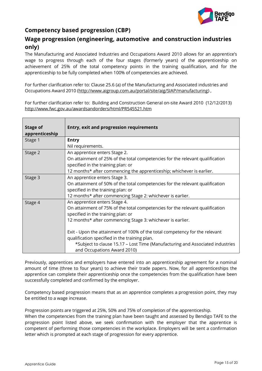

# **Competency based progression (CBP)**

# **Wage progression (engineering, automotive and construction industries only)**

The Manufacturing and Associated Industries and Occupations Award 2010 allows for an apprentice's wage to progress through each of the four stages (formerly years) of the apprenticeship on achievement of 25% of the total competency points in the training qualification, and for the apprenticeship to be fully completed when 100% of competencies are achieved.

For further clarification refer to: Clause 25.6 (a) of the Manufacturing and Associated industries and Occupations Award 2010 [\(http://www.aigroup.com.au/portal/site/aig/SIAP/manufacturing\)](http://www.aigroup.com.au/portal/site/aig/SIAP/manufacturing) ,

For further clarification refer to: Building and Construction General on-site Award 2010 (12/12/2013) <http://www.fwc.gov.au/awardsandorders/html/PR545521.htm>

| <b>Stage of</b><br>apprenticeship | <b>Entry, exit and progression requirements</b>                                                                                                                                                                                                                                                                                                                                                                                                                    |
|-----------------------------------|--------------------------------------------------------------------------------------------------------------------------------------------------------------------------------------------------------------------------------------------------------------------------------------------------------------------------------------------------------------------------------------------------------------------------------------------------------------------|
| Stage 1                           | <b>Entry</b><br>Nil requirements.                                                                                                                                                                                                                                                                                                                                                                                                                                  |
| Stage 2                           | An apprentice enters Stage 2.<br>On attainment of 25% of the total competencies for the relevant qualification<br>specified in the training plan: or<br>12 months* after commencing the apprenticeship; whichever is earlier.                                                                                                                                                                                                                                      |
| Stage 3                           | An apprentice enters Stage 3.<br>On attainment of 50% of the total competencies for the relevant qualification<br>specified in the training plan: or<br>12 months* after commencing Stage 2: whichever is earlier.                                                                                                                                                                                                                                                 |
| Stage 4                           | An apprentice enters Stage 4.<br>On attainment of 75% of the total competencies for the relevant qualification<br>specified in the training plan: or<br>12 months* after commencing Stage 3: whichever is earlier.<br>Exit - Upon the attainment of 100% of the total competency for the relevant<br>qualification specified in the training plan.<br>*Subject to clause 15.17 - Lost Time (Manufacturing and Associated industries<br>and Occupations Award 2010) |

Previously, apprentices and employers have entered into an apprenticeship agreement for a nominal amount of time (three to four years) to achieve their trade papers. Now, for all apprenticeships the apprentice can complete their apprenticeship once the competencies from the qualification have been successfully completed and confirmed by the employer.

Competency based progression means that as an apprentice completes a progression point, they may be entitled to a wage increase.

Progression points are triggered at 25%, 50% and 75% of completion of the apprenticeship.

When the competencies from the training plan have been taught and assessed by Bendigo TAFE to the progression point listed above, we seek confirmation with the employer that the apprentice is competent of performing those competencies in the workplace. Employers will be sent a confirmation letter which is prompted at each stage of progression for every apprentice.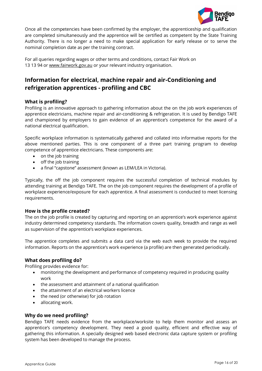

Once all the competencies have been confirmed by the employer, the apprenticeship and qualification are completed simultaneously and the apprentice will be certified as competent by the State Training Authority. There is no longer a need to make special application for early release or to serve the nominal completion date as per the training contract.

For all queries regarding wages or other terms and conditions, contact Fair Work on 13 13 94 or www.fairwork.gov.au or your relevant industry organisation.

# <span id="page-15-0"></span>**Information for electrical, machine repair and air-Conditioning and refrigeration apprentices - profiling and CBC**

#### **What is profiling?**

Profiling is an innovative approach to gathering information about the on the job work experiences of apprentice electricians, machine repair and air-conditioning & refrigeration. It is used by Bendigo TAFE and championed by employers to gain evidence of an apprentice's competence for the award of a national electrical qualification.

Specific workplace information is systematically gathered and collated into informative reports for the above mentioned parties. This is one component of a three part training program to develop competence of apprentice electricians. These components are:

- on the job training
- $\bullet$  off the job training
- a final "capstone" assessment (known as LEM/LEA in Victoria).

Typically, the off the job component requires the successful completion of technical modules by attending training at Bendigo TAFE. The on the job component requires the development of a profile of workplace experience/exposure for each apprentice. A final assessment is conducted to meet licensing requirements.

#### **How is the profile created?**

The on the job profile is created by capturing and reporting on an apprentice's work experience against industry determined competency standards. The information covers quality, breadth and range as well as supervision of the apprentice's workplace experiences.

The apprentice completes and submits a data card via the web each week to provide the required information. Reports on the apprentice's work experience (a profile) are then generated periodically.

#### **What does profiling do?**

Profiling provides evidence for:

- monitoring the development and performance of competency required in producing quality work
- the assessment and attainment of a national qualification
- the attainment of an electrical workers licence
- the need (or otherwise) for job rotation
- allocating work.

#### **Why do we need profiling?**

Bendigo TAFE needs evidence from the workplace/worksite to help them monitor and assess an apprentice's competency development. They need a good quality, efficient and effective way of gathering this information. A specially designed web based electronic data capture system or profiling system has been developed to manage the process.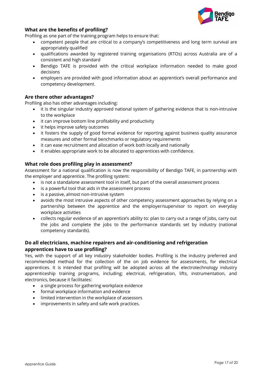

#### **What are the benefits of profiling?**

Profiling as one part of the training program helps to ensure that:

- competent people that are critical to a company's competitiveness and long term survival are appropriately qualified
- qualifications awarded by registered training organisations (RTOs) across Australia are of a consistent and high standard
- Bendigo TAFE is provided with the critical workplace information needed to make good decisions
- employers are provided with good information about an apprentice's overall performance and competency development.

#### **Are there other advantages?**

Profiling also has other advantages including:

- it is the singular industry approved national system of gathering evidence that is non-intrusive to the workplace
- it can improve bottom line profitability and productivity
- it helps improve safety outcomes
- it fosters the supply of good formal evidence for reporting against business quality assurance measures and other formal benchmarks or regulatory requirements
- it can ease recruitment and allocation of work both locally and nationally
- it enables appropriate work to be allocated to apprentices with confidence.

#### **What role does profiling play in assessment?**

Assessment for a national qualification is now the responsibility of Bendigo TAFE, in partnership with the employer and apprentice. The profiling system:

- is not a standalone assessment tool in itself, but part of the overall assessment process
- is a powerful tool that aids in the assessment process
- is a passive, almost non-intrusive system
- avoids the most intrusive aspects of other competency assessment approaches by relying on a partnership between the apprentice and the employer/supervisor to report on everyday workplace activities
- collects regular evidence of an apprentice's ability to: plan to carry out a range of jobs, carry out the jobs and complete the jobs to the performance standards set by industry (national competency standards).

#### **Do all electricians, machine repairers and air-conditioning and refrigeration apprentices have to use profiling?**

Yes, with the support of all key industry stakeholder bodies. Profiling is the industry preferred and recommended method for the collection of the on job evidence for assessments, for electrical apprentices. It is intended that profiling will be adopted across all the electrotechnology industry apprenticeship training programs, including; electrical, refrigeration, lifts, instrumentation, and electronics, because it facilitates:

- a single process for gathering workplace evidence
- formal workplace information and evidence
- limited intervention in the workplace of assessors
- <span id="page-16-0"></span>improvements in safety and safe work practices.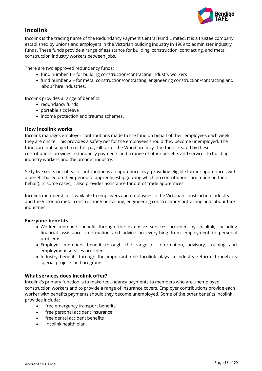

# **Incolink**

Incolink is the trading name of the Redundancy Payment Central Fund Limited. It is a trustee company established by unions and employers in the Victorian building industry in 1989 to administer industry funds. These funds provide a range of assistance for building, construction, contracting, and metal construction industry workers between jobs.

There are two approved redundancy funds:

- fund number 1 for building construction/contracting industry workers
- fund number 2 for metal construction/contracting, engineering construction/contracting and labour hire industries.

Incolink provides a range of benefits:

- redundancy funds
- portable sick leave
- income protection and trauma schemes.

#### **How Incolink works**

Incolink manages employer contributions made to the fund on behalf of their employees each week they are onsite. This provides a safety net for the employees should they become unemployed. The funds are not subject to either payroll tax or the WorkCare levy. The fund created by these contributions provides redundancy payments and a range of other benefits and services to building industry workers and the broader industry.

Sixty five cents out of each contribution is an apprentice levy, providing eligible former apprentices with a benefit based on their period of apprenticeship (during which no contributions are made on their behalf). In some cases, it also provides assistance for out of trade apprentices.

Incolink membership is available to employers and employees in the Victorian construction industry and the Victorian metal construction/contracting, engineering construction/contracting and labour hire industries.

#### **Everyone benefits**

- Worker members benefit through the extensive services provided by Incolink, including financial assistance, information and advice on everything from employment to personal problems.
- Employer members benefit through the range of information, advisory, training and employment services provided.
- Industry benefits through the important role Incolink plays in industry reform through its special projects and programs.

#### **What services does Incolink offer?**

Incolink's primary function is to make redundancy payments to members who are unemployed construction workers and to provide a range of insurance covers. Employer contributions provide each worker with benefits payments should they become unemployed. Some of the other benefits Incolink provides include:

- free emergency transport benefits
- free personal accident insurance
- free dental accident benefits
- Incolink health plan.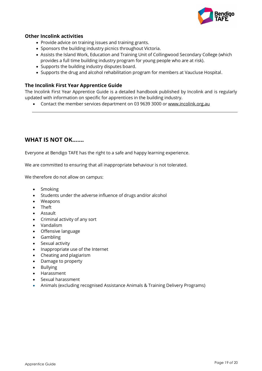<span id="page-18-0"></span>

#### **Other Incolink activities**

- Provide advice on training issues and training grants.
- Sponsors the building industry picnics throughout Victoria.
- Assists the Island Work, Education and Training Unit of Collingwood Secondary College (which provides a full time building industry program for young people who are at risk).
- Supports the building industry disputes board.
- Supports the drug and alcohol rehabilitation program for members at Vaucluse Hospital.

#### **The Incolink First Year Apprentice Guide**

The Incolink First Year Apprentice Guide is a detailed handbook published by Incolink and is regularly updated with information on specific for apprentices in the building industry.

Contact the member services department on 03 9639 3000 or [www.incolink.org.au](http://www.incolink.org.au/)

# **WHAT IS NOT OK…….**

Everyone at Bendigo TAFE has the right to a safe and happy learning experience.

We are committed to ensuring that all inappropriate behaviour is not tolerated.

We therefore do not allow on campus:

- Smoking
- Students under the adverse influence of drugs and/or alcohol
- Weapons
- **•** Theft
- Assault
- Criminal activity of any sort
- Vandalism
- Offensive language
- Gambling
- Sexual activity
- Inappropriate use of the Internet
- Cheating and plagiarism
- Damage to property
- Bullying
- Harassment
- Sexual harassment
- Animals (excluding recognised Assistance Animals & Training Delivery Programs)